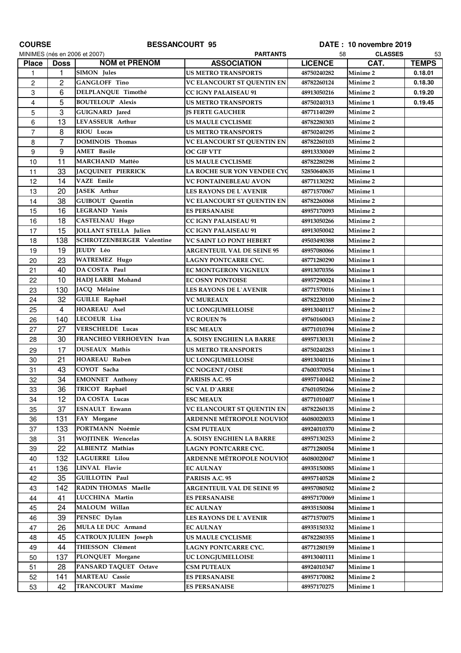| <b>COURSE</b>  | <b>BESSANCOURT 95</b> |                                  |                                                   | DATE: 10 novembre 2019     |                      |              |
|----------------|-----------------------|----------------------------------|---------------------------------------------------|----------------------------|----------------------|--------------|
|                |                       | MINIMES (nés en 2006 et 2007)    | <b>PARTANTS</b>                                   | 58                         | <b>CLASSES</b>       | 53           |
| <b>Place</b>   | <b>Doss</b>           | <b>NOM et PRENOM</b>             | <b>ASSOCIATION</b>                                | <b>LICENCE</b>             | CAT.                 | <b>TEMPS</b> |
| 1              | 1                     | <b>SIMON</b> Jules               | <b>US METRO TRANSPORTS</b>                        | 48750240282                | Minime <sub>2</sub>  | 0.18.01      |
| $\overline{c}$ | $\overline{c}$        | <b>GANGLOFF Tino</b>             | VC ELANCOURT ST QUENTIN EN                        | 48782260124                | Minime 2             | 0.18.30      |
| 3              | 6                     | DELPLANQUE Timothé               | <b>CC IGNY PALAISEAU 91</b>                       | 48913050216                | Minime 2             | 0.19.20      |
| 4              | 5                     | <b>BOUTELOUP Alexis</b>          | <b>US METRO TRANSPORTS</b>                        | 48750240313                | Minime 1             | 0.19.45      |
| 5              | 3                     | GUIGNARD Jared                   | <b>JS FERTE GAUCHER</b>                           | 48771140289                | <b>Minime 2</b>      |              |
| 6              | 13                    | LEVASSEUR Arthur                 | <b>US MAULE CYCLISME</b>                          | 48782280303                | Minime 2             |              |
| $\overline{7}$ | 8                     | RIOU Lucas                       | <b>US METRO TRANSPORTS</b>                        | 48750240295                | Minime 2             |              |
| 8              | $\overline{7}$        | DOMINOIS Thomas                  | VC ELANCOURT ST QUENTIN EN                        | 48782260103                | <b>Minime 2</b>      |              |
| 9              | 9                     | <b>AMET</b> Basile               | <b>OC GIF VTT</b>                                 | 48913330049                | Minime 2             |              |
| 10             | 11                    | MARCHAND Mattéo                  | <b>US MAULE CYCLISME</b>                          | 48782280298                | Minime 2             |              |
| 11             | 33                    | JACQUINET PIERRICK               | LA ROCHE SUR YON VENDEE CYC                       | 52850640635                | Minime 1             |              |
| 12             | 14                    | <b>VAZE</b> Emile                | VC FONTAINEBLEAU AVON                             | 48771130292                | <b>Minime 2</b>      |              |
| 13             | 20                    | JASEK Arthur                     | <b>LES RAYONS DE L'AVENIR</b>                     | 48771570067                | Minime 1             |              |
| 14             | 38                    | <b>GUIBOUT</b> Quentin           | VC ELANCOURT ST QUENTIN EN                        | 48782260068                | <b>Minime 2</b>      |              |
| 15             | 16                    | <b>LEGRAND Yanis</b>             | <b>ES PERSANAISE</b>                              | 48957170093                | Minime 2             |              |
| 16             | 18                    | <b>CASTELNAU Hugo</b>            | <b>CC IGNY PALAISEAU 91</b>                       | 48913050266                | Minime 2             |              |
| 17             | 15                    | JOLLANT STELLA Julien            | <b>CC IGNY PALAISEAU 91</b>                       | 48913050042                | Minime 2             |              |
| 18             | 138                   | <b>SCHROTZENBERGER Valentine</b> | <b>VC SAINT LO PONT HEBERT</b>                    | 49503490388                | <b>Minime 2</b>      |              |
| 19             | 19                    | JEUDY Léo                        | <b>ARGENTEUIL VAL DE SEINE 95</b>                 | 48957080066                | Minime 1             |              |
| 20             | 23                    | <b>WATREMEZ Hugo</b>             | LAGNY PONTCARRE CYC.                              | 48771280290                | Minime 1             |              |
| 21             | 40                    | DA COSTA Paul                    | <b>EC MONTGERON VIGNEUX</b>                       | 48913070356                | Minime 1             |              |
| 22             | 10                    | HADJ LARBI Mohand                | <b>EC OSNY PONTOISE</b>                           | 48957290024                | Minime 1             |              |
| 23             | 130                   | JACQ Mélaine                     | <b>LES RAYONS DE L`AVENIR</b>                     | 48771570016                | Minime 1             |              |
| 24             | 32                    | GUILLE Raphaël                   | <b>VC MUREAUX</b>                                 | 48782230100                | Minime 2             |              |
| 25             | 4                     | HOAREAU Axel                     | <b>UC LONGJUMELLOISE</b>                          | 48913040117                | Minime 2             |              |
| 26             | 140                   | LECOEUR Lisa                     | <b>VC ROUEN 76</b>                                | 49760160043                | <b>Minime 2</b>      |              |
| 27             | 27                    | <b>VERSCHELDE Lucas</b>          | <b>ESC MEAUX</b>                                  | 48771010394                | <b>Minime 2</b>      |              |
| 28             | 30                    | FRANCHEO VERHOEVEN Ivan          | A. SOISY ENGHIEN LA BARRE                         | 48957130131                | Minime 2             |              |
| 29             | 17                    | DUSEAUX Mathis                   | <b>US METRO TRANSPORTS</b>                        | 48750240283                | Minime 1             |              |
| 30             | 21                    | <b>HOAREAU Ruben</b>             | <b>UC LONGJUMELLOISE</b>                          | 48913040116                | Minime 1             |              |
| 31             | 43                    | COYOT Sacha                      | <b>CC NOGENT / OISE</b>                           | 47600370054                | Minime 1             |              |
| 32             | 34                    | <b>EMONNET Anthony</b>           | PARISIS A.C. 95                                   | 48957140442                | Minime 2             |              |
| 33             | 36                    | TRICOT Raphaël                   | <b>SC VAL D'ARRE</b>                              | 47601050266                | Minime <sub>2</sub>  |              |
| 34             | 12                    | DA COSTA Lucas                   | <b>ESC MEAUX</b>                                  | 48771010407                | Minime 1             |              |
| 35             | 37                    | <b>ESNAULT</b> Erwann            | VC ELANCOURT ST QUENTIN EN                        | 48782260135                | Minime 2             |              |
| 36             | 131                   | FAY Morgane                      | ARDENNE MÉTROPOLE NOUVIOI                         | 46080020033                | Minime 1             |              |
| 37             | 133                   | PORTMANN Noémie                  | <b>CSM PUTEAUX</b>                                | 48924010370                | Minime 2             |              |
| 38             | 31                    | <b>WOITINEK Wencelas</b>         | A. SOISY ENGHIEN LA BARRE                         | 48957130253                | Minime 2             |              |
| 39             | 22                    | ALBIENTZ Mathias                 | LAGNY PONTCARRE CYC.                              | 48771280054                | Minime 1             |              |
| 40             | 132                   | <b>LAGUERRE</b> Lilou            | ARDENNE MÉTROPOLE NOUVIOI                         | 46080020047                | Minime 1             |              |
| 41             | 136                   | <b>LINVAL Flavie</b>             | <b>EC AULNAY</b>                                  | 48935150085                | Minime 1             |              |
| 42             | 35                    | <b>GUILLOTIN Paul</b>            | PARISIS A.C. 95                                   | 48957140528                | Minime 2             |              |
| 43             | 142                   | <b>RADIN THOMAS Maelle</b>       | <b>ARGENTEUIL VAL DE SEINE 95</b>                 | 48957080502                | Minime 2             |              |
| 44             | 41                    | LUCCHINA Martin                  | <b>ES PERSANAISE</b>                              | 48957170069                | Minime 1             |              |
|                | 24                    | MALOUM Willan                    |                                                   |                            |                      |              |
| 45<br>46       | 39                    | PENSEC Dylan                     | <b>EC AULNAY</b><br><b>LES RAYONS DE L`AVENIR</b> | 48935150084<br>48771570075 | Minime 1<br>Minime 1 |              |
| 47             | 26                    | MULA LE DUC Armand               |                                                   | 48935150332                | Minime 1             |              |
|                | 45                    | <b>CATROUX JULIEN Joseph</b>     | <b>EC AULNAY</b>                                  |                            |                      |              |
| 48             |                       | THIESSON Clément                 | US MAULE CYCLISME                                 | 48782280355                | Minime 1             |              |
| 49             | 44                    |                                  | LAGNY PONTCARRE CYC.                              | 48771280159                | Minime 1             |              |
| 50             | 137                   | PLONQUET Morgane                 | UC LONGJUMELLOISE                                 | 48913040111                | Minime 1             |              |
| 51             | 28                    | PANSARD TAQUET Octave            | <b>CSM PUTEAUX</b>                                | 48924010347                | Minime 1             |              |
| 52             | 141                   | <b>MARTEAU Cassie</b>            | <b>ES PERSANAISE</b>                              | 48957170082                | Minime 2             |              |
| 53             | 42                    | TRANCOURT Maxime                 | <b>ES PERSANAISE</b>                              | 48957170275                | Minime 1             |              |